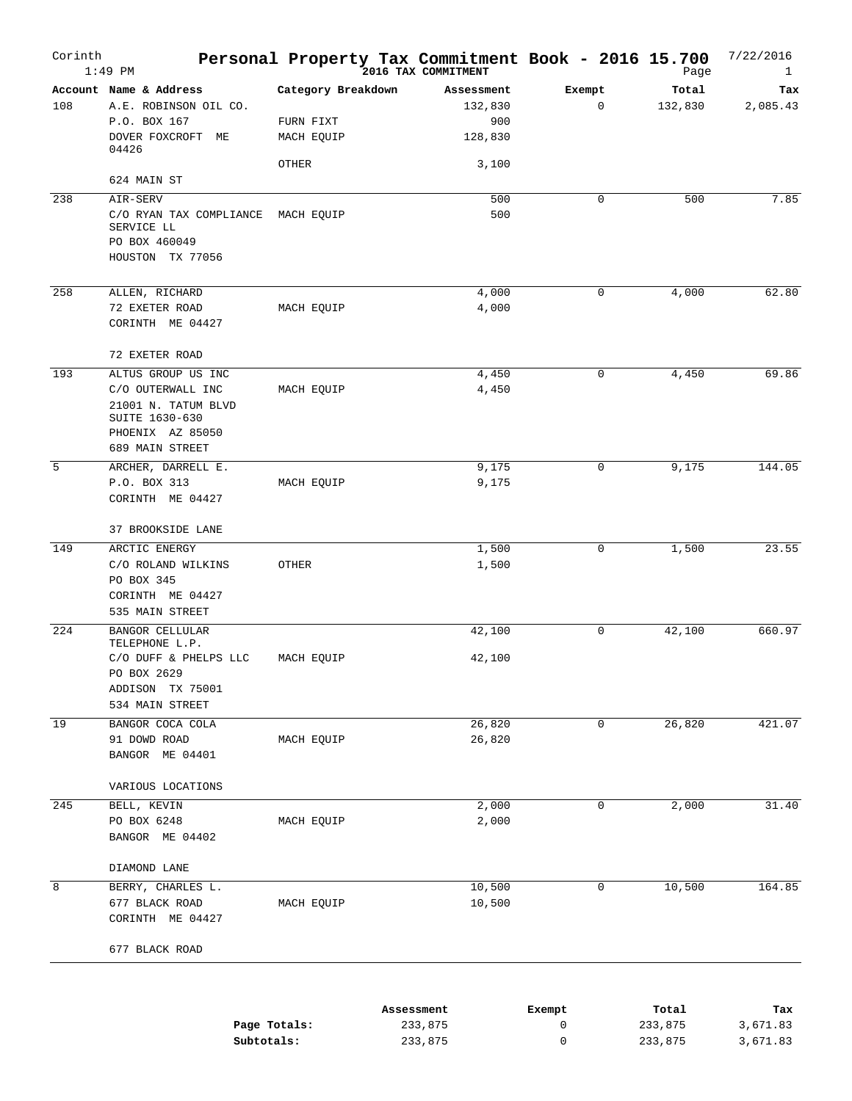| Corinth | $1:49$ PM                                                                                         | Personal Property Tax Commitment Book - 2016 15.700 | 2016 TAX COMMITMENT          |             | Page             | 7/22/2016<br>$\mathbf{1}$ |
|---------|---------------------------------------------------------------------------------------------------|-----------------------------------------------------|------------------------------|-------------|------------------|---------------------------|
| 108     | Account Name & Address<br>A.E. ROBINSON OIL CO.<br>P.O. BOX 167                                   | Category Breakdown<br>FURN FIXT                     | Assessment<br>132,830<br>900 | Exempt<br>0 | Total<br>132,830 | Tax<br>2,085.43           |
|         | DOVER FOXCROFT ME<br>04426                                                                        | MACH EQUIP                                          | 128,830                      |             |                  |                           |
|         | 624 MAIN ST                                                                                       | OTHER                                               | 3,100                        |             |                  |                           |
| 238     |                                                                                                   |                                                     |                              | 0           | 500              | 7.85                      |
|         | AIR-SERV<br>C/O RYAN TAX COMPLIANCE MACH EQUIP<br>SERVICE LL                                      |                                                     | 500<br>500                   |             |                  |                           |
|         | PO BOX 460049<br>HOUSTON TX 77056                                                                 |                                                     |                              |             |                  |                           |
| 258     | ALLEN, RICHARD                                                                                    |                                                     | 4,000                        | 0           | 4,000            | 62.80                     |
|         | 72 EXETER ROAD                                                                                    | MACH EQUIP                                          | 4,000                        |             |                  |                           |
|         | CORINTH ME 04427                                                                                  |                                                     |                              |             |                  |                           |
|         | 72 EXETER ROAD                                                                                    |                                                     |                              |             |                  |                           |
| 193     | ALTUS GROUP US INC                                                                                |                                                     | 4,450                        | 0           | 4,450            | 69.86                     |
|         | C/O OUTERWALL INC<br>21001 N. TATUM BLVD<br>SUITE 1630-630<br>PHOENIX AZ 85050<br>689 MAIN STREET | MACH EQUIP                                          | 4,450                        |             |                  |                           |
| 5       | ARCHER, DARRELL E.                                                                                |                                                     | 9,175                        | 0           | 9,175            | 144.05                    |
|         | P.O. BOX 313<br>CORINTH ME 04427                                                                  | MACH EQUIP                                          | 9,175                        |             |                  |                           |
|         | 37 BROOKSIDE LANE                                                                                 |                                                     |                              |             |                  |                           |
| 149     | ARCTIC ENERGY                                                                                     |                                                     | 1,500                        | 0           | 1,500            | 23.55                     |
|         | C/O ROLAND WILKINS<br>PO BOX 345<br>CORINTH ME 04427<br>535 MAIN STREET                           | OTHER                                               | 1,500                        |             |                  |                           |
|         |                                                                                                   |                                                     |                              |             |                  |                           |
| 224     | <b>BANGOR CELLULAR</b><br>TELEPHONE L.P.                                                          |                                                     | 42,100                       | 0           | 42,100           | 660.97                    |
|         | C/O DUFF & PHELPS LLC<br>PO BOX 2629                                                              | MACH EQUIP                                          | 42,100                       |             |                  |                           |
|         | ADDISON TX 75001<br>534 MAIN STREET                                                               |                                                     |                              |             |                  |                           |
| 19      | BANGOR COCA COLA                                                                                  |                                                     | 26,820                       | 0           | 26,820           | 421.07                    |
|         | 91 DOWD ROAD<br>BANGOR ME 04401                                                                   | MACH EQUIP                                          | 26,820                       |             |                  |                           |
|         | VARIOUS LOCATIONS                                                                                 |                                                     |                              |             |                  |                           |
| 245     | BELL, KEVIN                                                                                       |                                                     | 2,000                        | 0           | 2,000            | 31.40                     |
|         | PO BOX 6248<br>BANGOR ME 04402                                                                    | MACH EQUIP                                          | 2,000                        |             |                  |                           |
|         | DIAMOND LANE                                                                                      |                                                     |                              |             |                  |                           |
| 8       | BERRY, CHARLES L.                                                                                 |                                                     | 10,500                       | 0           | 10,500           | 164.85                    |
|         | 677 BLACK ROAD<br>CORINTH ME 04427                                                                | MACH EQUIP                                          | 10,500                       |             |                  |                           |
|         | 677 BLACK ROAD                                                                                    |                                                     |                              |             |                  |                           |
|         |                                                                                                   |                                                     |                              |             |                  |                           |
|         |                                                                                                   |                                                     | Assessment                   | Exempt      | Total            | Tax                       |

|              | ASSessment | вхешрс | тосат   | тах      |
|--------------|------------|--------|---------|----------|
| Page Totals: | 233,875    |        | 233,875 | 3,671.83 |
| Subtotals:   | 233,875    |        | 233,875 | 3,671.83 |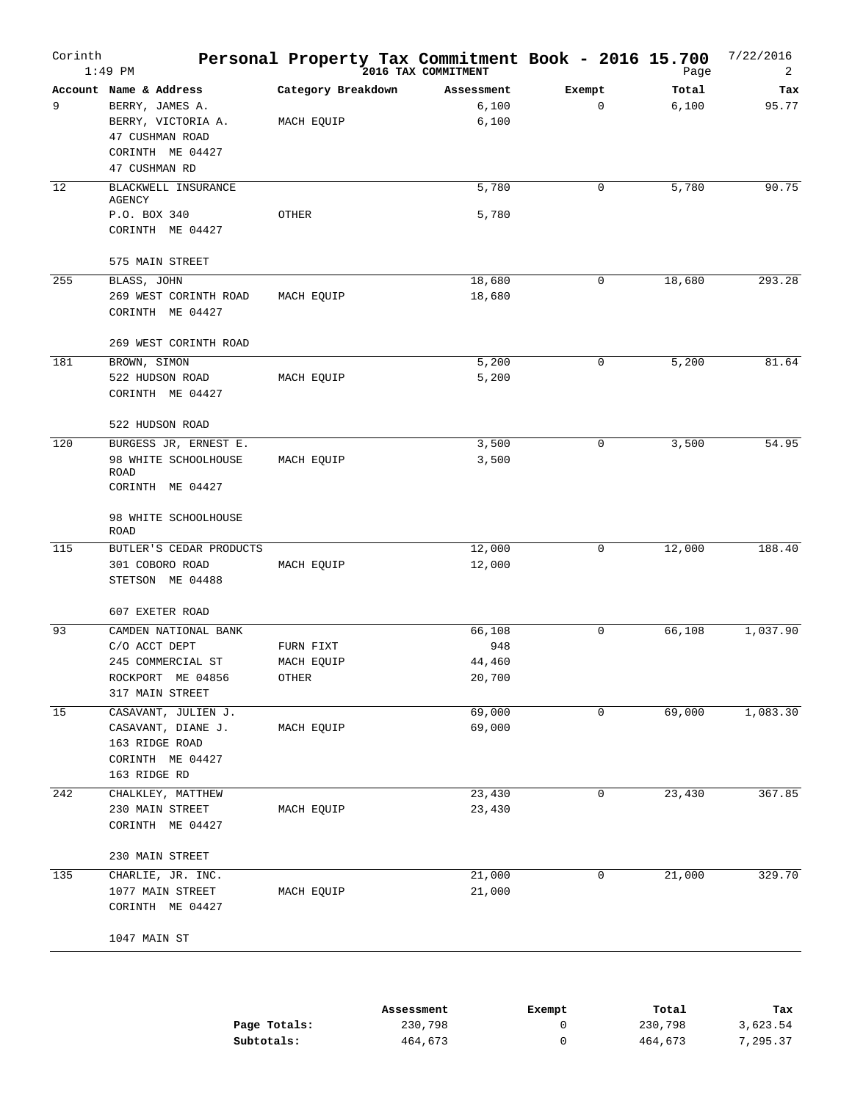| Corinth<br>$1:49$ PM                         |                                                                                           | Personal Property Tax Commitment Book - 2016 15.700 | 2016 TAX COMMITMENT               |             | Page           | 7/22/2016<br>2 |
|----------------------------------------------|-------------------------------------------------------------------------------------------|-----------------------------------------------------|-----------------------------------|-------------|----------------|----------------|
| Account Name & Address<br>9<br>47 CUSHMAN RD | BERRY, JAMES A.<br>BERRY, VICTORIA A.<br>47 CUSHMAN ROAD<br>CORINTH ME 04427              | Category Breakdown<br>MACH EQUIP                    | Assessment<br>6,100<br>6,100      | Exempt<br>0 | Total<br>6,100 | Tax<br>95.77   |
| 12<br><b>AGENCY</b><br>P.O. BOX 340          | BLACKWELL INSURANCE<br>CORINTH ME 04427                                                   | OTHER                                               | 5,780<br>5,780                    | 0           | 5,780          | 90.75          |
| 255<br>BLASS, JOHN                           | 575 MAIN STREET<br>269 WEST CORINTH ROAD<br>CORINTH ME 04427<br>269 WEST CORINTH ROAD     | MACH EQUIP                                          | 18,680<br>18,680                  | 0           | 18,680         | 293.28         |
| 181<br>BROWN, SIMON                          | 522 HUDSON ROAD<br>CORINTH ME 04427<br>522 HUDSON ROAD                                    | MACH EQUIP                                          | 5,200<br>5,200                    | 0           | 5,200          | 81.64          |
| 120<br>ROAD                                  | BURGESS JR, ERNEST E.<br>98 WHITE SCHOOLHOUSE<br>CORINTH ME 04427<br>98 WHITE SCHOOLHOUSE | MACH EQUIP                                          | 3,500<br>3,500                    | 0           | 3,500          | 54.95          |
| ROAD<br>115                                  | BUTLER'S CEDAR PRODUCTS<br>301 COBORO ROAD<br>STETSON ME 04488<br>607 EXETER ROAD         | MACH EQUIP                                          | 12,000<br>12,000                  | 0           | 12,000         | 188.40         |
| 93<br>C/O ACCT DEPT                          | CAMDEN NATIONAL BANK<br>245 COMMERCIAL ST<br>ROCKPORT ME 04856<br>317 MAIN STREET         | FURN FIXT<br>MACH EQUIP<br>OTHER                    | 66,108<br>948<br>44,460<br>20,700 | 0           | 66,108         | 1,037.90       |
| 15<br>163 RIDGE RD                           | CASAVANT, JULIEN J.<br>CASAVANT, DIANE J.<br>163 RIDGE ROAD<br>CORINTH ME 04427           | MACH EQUIP                                          | 69,000<br>69,000                  | $\mathbf 0$ | 69,000         | 1,083.30       |
| 242                                          | CHALKLEY, MATTHEW<br>230 MAIN STREET<br>CORINTH ME 04427<br>230 MAIN STREET               | MACH EQUIP                                          | 23,430<br>23,430                  | 0           | 23,430         | 367.85         |
| 135<br>1047 MAIN ST                          | CHARLIE, JR. INC.<br>1077 MAIN STREET<br>CORINTH ME 04427                                 | MACH EQUIP                                          | 21,000<br>21,000                  | 0           | 21,000         | 329.70         |

|              | Assessment | Exempt | Total   | Tax      |
|--------------|------------|--------|---------|----------|
| Page Totals: | 230,798    |        | 230,798 | 3,623.54 |
| Subtotals:   | 464.673    |        | 464,673 | 7,295.37 |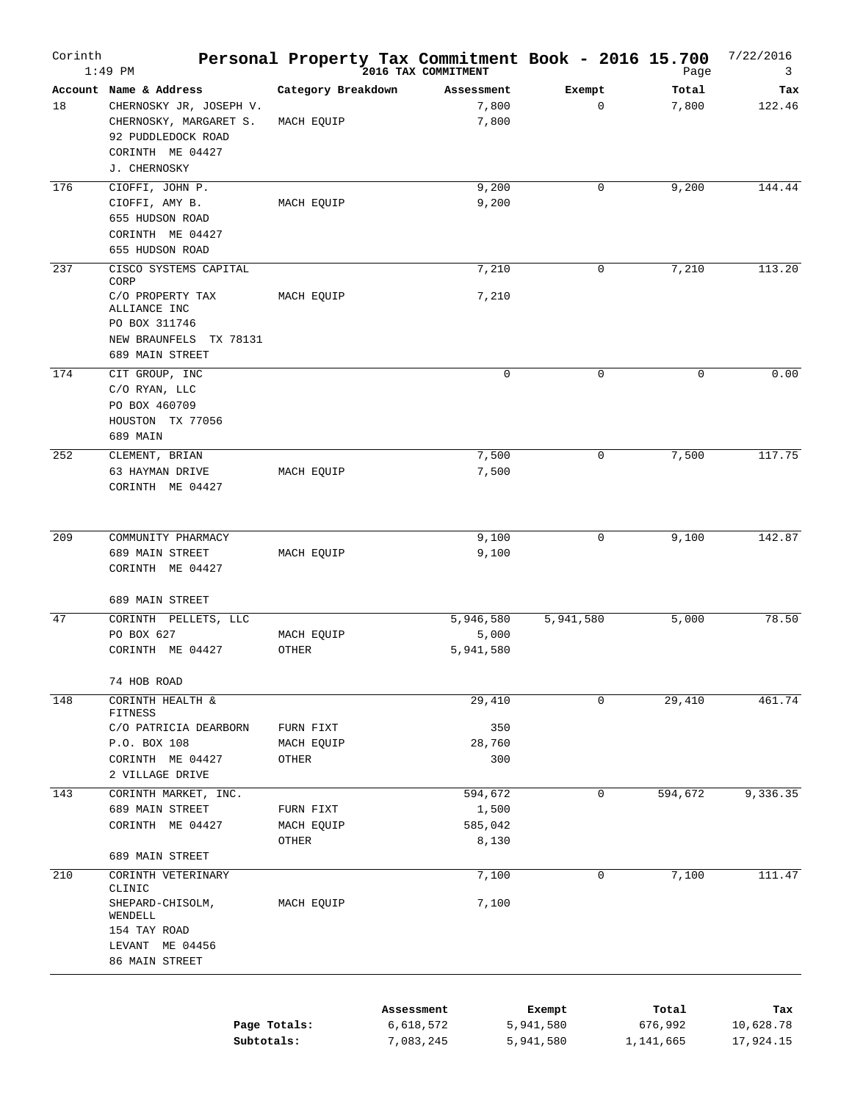| Corinth | $1:49$ PM                                                                                                                             |                                  | Personal Property Tax Commitment Book - 2016 15.700<br>2016 TAX COMMITMENT |                       | Page           | 7/22/2016<br>3 |
|---------|---------------------------------------------------------------------------------------------------------------------------------------|----------------------------------|----------------------------------------------------------------------------|-----------------------|----------------|----------------|
| 18      | Account Name & Address<br>CHERNOSKY JR, JOSEPH V.<br>CHERNOSKY, MARGARET S.<br>92 PUDDLEDOCK ROAD<br>CORINTH ME 04427<br>J. CHERNOSKY | Category Breakdown<br>MACH EQUIP | Assessment<br>7,800<br>7,800                                               | Exempt<br>$\mathbf 0$ | Total<br>7,800 | Tax<br>122.46  |
| 176     | CIOFFI, JOHN P.<br>CIOFFI, AMY B.<br>655 HUDSON ROAD<br>CORINTH ME 04427<br>655 HUDSON ROAD                                           | MACH EQUIP                       | 9,200<br>9,200                                                             | $\mathbf 0$           | 9,200          | 144.44         |
| 237     | CISCO SYSTEMS CAPITAL<br>CORP<br>C/O PROPERTY TAX<br>ALLIANCE INC<br>PO BOX 311746<br>NEW BRAUNFELS<br>TX 78131<br>689 MAIN STREET    | MACH EQUIP                       | 7,210<br>7,210                                                             | 0                     | 7,210          | 113.20         |
| 174     | CIT GROUP, INC<br>C/O RYAN, LLC<br>PO BOX 460709<br>HOUSTON TX 77056<br>689 MAIN                                                      |                                  | $\mathbf 0$                                                                | 0                     | $\mathbf 0$    | 0.00           |
| 252     | CLEMENT, BRIAN<br>63 HAYMAN DRIVE<br>CORINTH ME 04427                                                                                 | MACH EQUIP                       | 7,500<br>7,500                                                             | 0                     | 7,500          | 117.75         |
| 209     | COMMUNITY PHARMACY<br>689 MAIN STREET<br>CORINTH ME 04427                                                                             | MACH EQUIP                       | 9,100<br>9,100                                                             | $\mathbf 0$           | 9,100          | 142.87         |
| 47      | 689 MAIN STREET<br>CORINTH PELLETS, LLC<br>PO BOX 627<br>CORINTH ME 04427                                                             | MACH EQUIP<br>OTHER              | 5,946,580<br>5,000<br>5,941,580                                            | 5,941,580             | 5,000          | 78.50          |
| 148     | 74 HOB ROAD<br>CORINTH HEALTH &<br>FITNESS<br>C/O PATRICIA DEARBORN<br>P.O. BOX 108<br>CORINTH ME 04427<br>2 VILLAGE DRIVE            | FURN FIXT<br>MACH EQUIP<br>OTHER | 29,410<br>350<br>28,760<br>300                                             | $\mathbf 0$           | 29,410         | 461.74         |
| 143     | CORINTH MARKET, INC.<br>689 MAIN STREET<br>CORINTH ME 04427<br>689 MAIN STREET                                                        | FURN FIXT<br>MACH EQUIP<br>OTHER | 594,672<br>1,500<br>585,042<br>8,130                                       | 0                     | 594,672        | 9,336.35       |
| 210     | CORINTH VETERINARY<br>CLINIC<br>SHEPARD-CHISOLM,<br>WENDELL<br>154 TAY ROAD<br>LEVANT ME 04456<br>86 MAIN STREET                      | MACH EQUIP                       | 7,100<br>7,100                                                             | 0                     | 7,100          | 111.47         |
|         |                                                                                                                                       |                                  | Assessment                                                                 | Exempt                | Total          | Tax            |

|              | ASSessment | Exempt    | тосат     | тах       |
|--------------|------------|-----------|-----------|-----------|
| Page Totals: | 6,618,572  | 5,941,580 | 676,992   | 10,628.78 |
| Subtotals:   | 7,083,245  | 5,941,580 | 1,141,665 | 17,924.15 |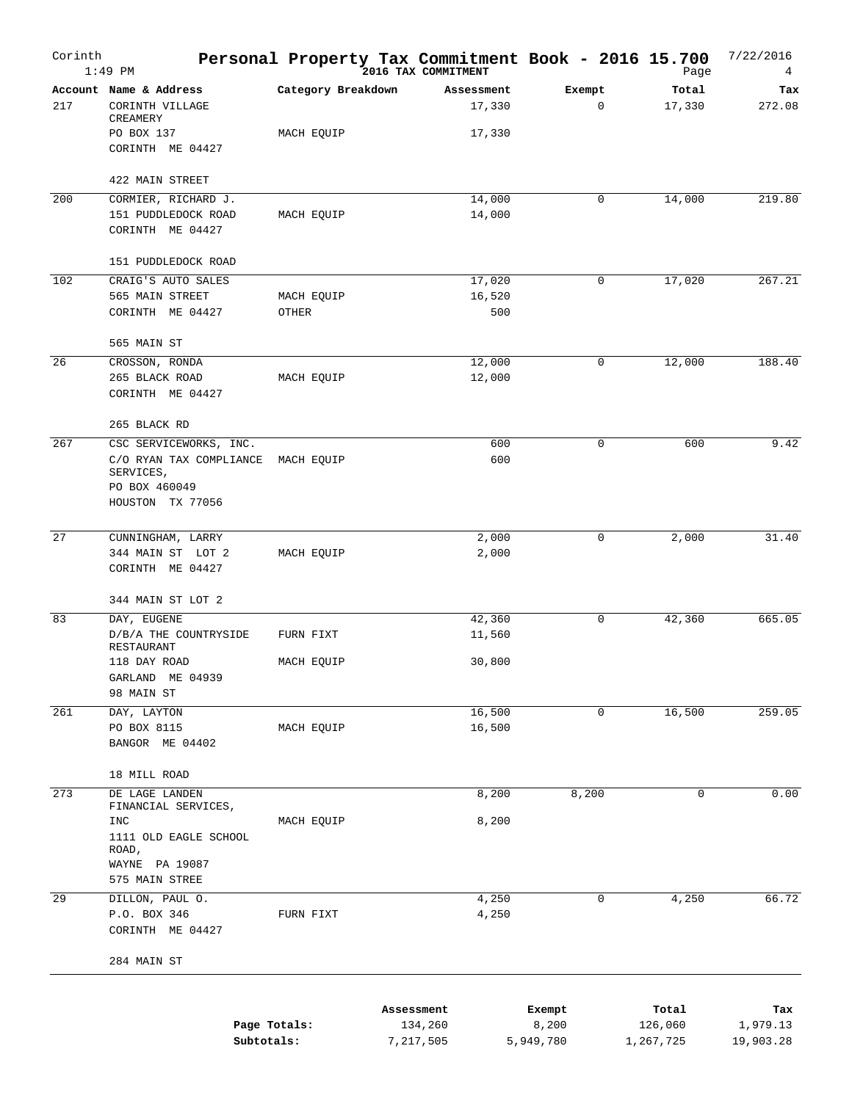| Corinth | $1:49$ PM                                                                                           |                     | Personal Property Tax Commitment Book - 2016 15.700<br>2016 TAX COMMITMENT |             | Page            | 7/22/2016<br>4 |
|---------|-----------------------------------------------------------------------------------------------------|---------------------|----------------------------------------------------------------------------|-------------|-----------------|----------------|
| 217     | Account Name & Address<br>CORINTH VILLAGE<br>CREAMERY                                               | Category Breakdown  | Assessment<br>17,330                                                       | Exempt<br>0 | Total<br>17,330 | Tax<br>272.08  |
|         | PO BOX 137<br>CORINTH ME 04427                                                                      | MACH EQUIP          | 17,330                                                                     |             |                 |                |
|         | 422 MAIN STREET                                                                                     |                     |                                                                            |             |                 |                |
| 200     | CORMIER, RICHARD J.<br>151 PUDDLEDOCK ROAD<br>CORINTH ME 04427                                      | MACH EQUIP          | 14,000<br>14,000                                                           | 0           | 14,000          | 219.80         |
|         | 151 PUDDLEDOCK ROAD                                                                                 |                     |                                                                            |             |                 |                |
| 102     | CRAIG'S AUTO SALES<br>565 MAIN STREET<br>CORINTH ME 04427                                           | MACH EQUIP<br>OTHER | 17,020<br>16,520<br>500                                                    | 0           | 17,020          | 267.21         |
|         | 565 MAIN ST                                                                                         |                     |                                                                            |             |                 |                |
| 26      | CROSSON, RONDA<br>265 BLACK ROAD<br>CORINTH ME 04427                                                | MACH EQUIP          | 12,000<br>12,000                                                           | 0           | 12,000          | 188.40         |
|         | 265 BLACK RD                                                                                        |                     |                                                                            |             |                 |                |
| 267     | CSC SERVICEWORKS, INC.<br>C/O RYAN TAX COMPLIANCE<br>SERVICES,<br>PO BOX 460049<br>HOUSTON TX 77056 | MACH EQUIP          | 600<br>600                                                                 | $\mathbf 0$ | 600             | 9.42           |
|         |                                                                                                     |                     |                                                                            |             |                 |                |
| 27      | CUNNINGHAM, LARRY<br>344 MAIN ST LOT 2<br>CORINTH ME 04427                                          | MACH EQUIP          | 2,000<br>2,000                                                             | 0           | 2,000           | 31.40          |
|         | 344 MAIN ST LOT 2                                                                                   |                     |                                                                            |             |                 |                |
| 83      | DAY, EUGENE                                                                                         |                     | 42,360                                                                     | 0           | 42,360          | 665.05         |
|         | D/B/A THE COUNTRYSIDE<br>RESTAURANT                                                                 | FURN FIXT           | 11,560                                                                     |             |                 |                |
|         | 118 DAY ROAD<br>GARLAND ME 04939<br>98 MAIN ST                                                      | MACH EQUIP          | 30,800                                                                     |             |                 |                |
| 261     | DAY, LAYTON                                                                                         |                     | 16,500                                                                     | 0           | 16,500          | 259.05         |
|         | PO BOX 8115<br>BANGOR ME 04402                                                                      | MACH EQUIP          | 16,500                                                                     |             |                 |                |
|         | 18 MILL ROAD                                                                                        |                     |                                                                            |             |                 |                |
| 273     | DE LAGE LANDEN<br>FINANCIAL SERVICES,                                                               |                     | 8,200                                                                      | 8,200       | 0               | 0.00           |
|         | INC<br>1111 OLD EAGLE SCHOOL<br>ROAD,                                                               | MACH EQUIP          | 8,200                                                                      |             |                 |                |
|         | WAYNE PA 19087<br>575 MAIN STREE                                                                    |                     |                                                                            |             |                 |                |
| 29      | DILLON, PAUL O.<br>P.O. BOX 346                                                                     | FURN FIXT           | 4,250<br>4,250                                                             | 0           | 4,250           | 66.72          |
|         | CORINTH ME 04427<br>284 MAIN ST                                                                     |                     |                                                                            |             |                 |                |
|         |                                                                                                     |                     | Assessment                                                                 | Exempt      | Total           | Tax            |
|         | Page Totals:                                                                                        |                     | 134,260                                                                    | 8,200       | 126,060         | 1,979.13       |

**Subtotals:** 7,217,505 5,949,780 1,267,725 19,903.28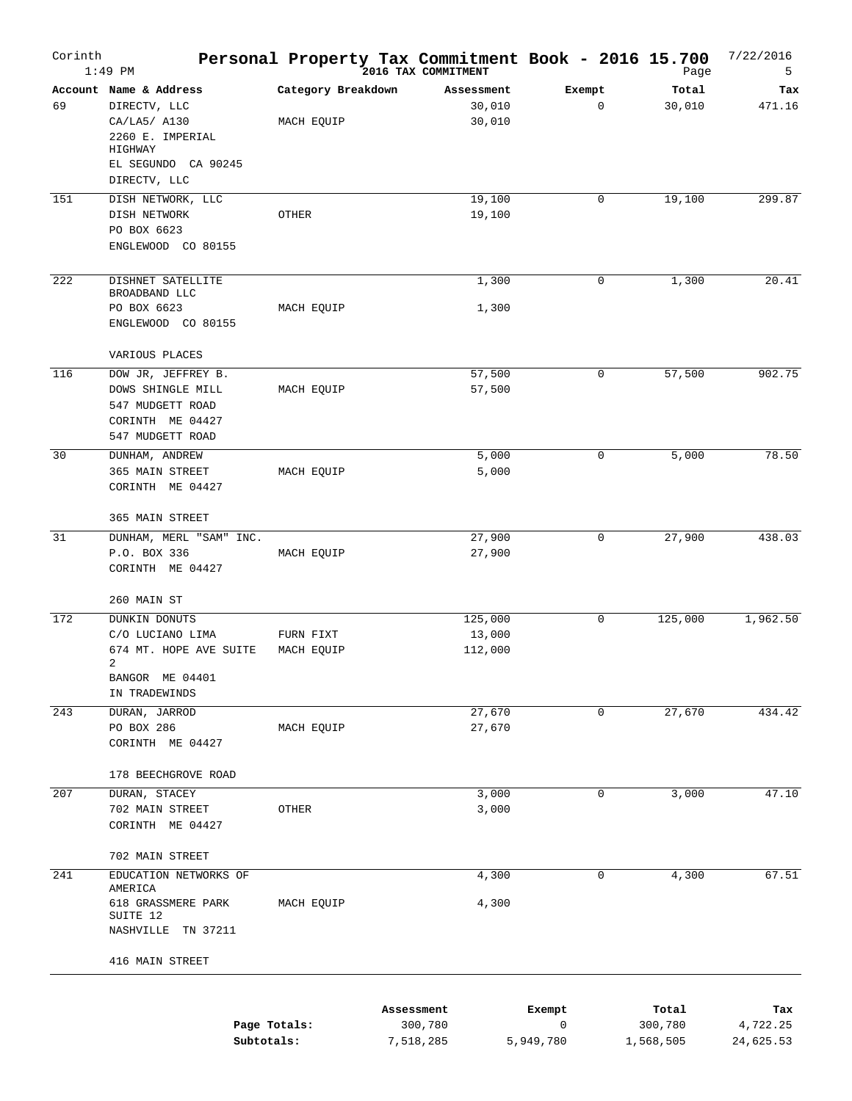| Corinth | $1:49$ PM                                                                     |                         | Personal Property Tax Commitment Book - 2016 15.700<br>2016 TAX COMMITMENT |             | Page            | 7/22/2016<br>5 |
|---------|-------------------------------------------------------------------------------|-------------------------|----------------------------------------------------------------------------|-------------|-----------------|----------------|
| 69      | Account Name & Address<br>DIRECTV, LLC                                        | Category Breakdown      | Assessment<br>30,010                                                       | Exempt<br>0 | Total<br>30,010 | Tax<br>471.16  |
|         | CA/LA5/ A130<br>2260 E. IMPERIAL                                              | MACH EQUIP              | 30,010                                                                     |             |                 |                |
|         | HIGHWAY<br>EL SEGUNDO CA 90245<br>DIRECTV, LLC                                |                         |                                                                            |             |                 |                |
| 151     | DISH NETWORK, LLC                                                             |                         | 19,100                                                                     | 0           | 19,100          | 299.87         |
|         | DISH NETWORK<br>PO BOX 6623                                                   | OTHER                   | 19,100                                                                     |             |                 |                |
|         | ENGLEWOOD CO 80155                                                            |                         |                                                                            |             |                 |                |
| 222     | DISHNET SATELLITE<br>BROADBAND LLC                                            |                         | 1,300                                                                      | 0           | 1,300           | 20.41          |
|         | PO BOX 6623<br>ENGLEWOOD CO 80155                                             | MACH EQUIP              | 1,300                                                                      |             |                 |                |
|         | VARIOUS PLACES                                                                |                         |                                                                            |             |                 |                |
| 116     | DOW JR, JEFFREY B.                                                            |                         | 57,500                                                                     | 0           | 57,500          | 902.75         |
|         | DOWS SHINGLE MILL<br>547 MUDGETT ROAD<br>CORINTH ME 04427<br>547 MUDGETT ROAD | MACH EQUIP              | 57,500                                                                     |             |                 |                |
| 30      | DUNHAM, ANDREW                                                                |                         | 5,000                                                                      | 0           | 5,000           | 78.50          |
|         | 365 MAIN STREET<br>CORINTH ME 04427                                           | MACH EQUIP              | 5,000                                                                      |             |                 |                |
|         | 365 MAIN STREET                                                               |                         |                                                                            |             |                 |                |
| 31      | DUNHAM, MERL "SAM" INC.                                                       |                         | 27,900                                                                     | 0           | 27,900          | 438.03         |
|         | P.O. BOX 336<br>CORINTH ME 04427                                              | MACH EQUIP              | 27,900                                                                     |             |                 |                |
|         | 260 MAIN ST                                                                   |                         |                                                                            |             |                 |                |
| 172     | <b>DUNKIN DONUTS</b>                                                          |                         | 125,000                                                                    | 0           | 125,000         | 1,962.50       |
|         | C/O LUCIANO LIMA<br>674 MT. HOPE AVE SUITE<br>2                               | FURN FIXT<br>MACH EQUIP | 13,000<br>112,000                                                          |             |                 |                |
|         | BANGOR ME 04401<br>IN TRADEWINDS                                              |                         |                                                                            |             |                 |                |
| 243     | DURAN, JARROD                                                                 |                         | 27,670                                                                     | $\mathbf 0$ | 27,670          | 434.42         |
|         | PO BOX 286<br>CORINTH ME 04427                                                | MACH EQUIP              | 27,670                                                                     |             |                 |                |
|         | 178 BEECHGROVE ROAD                                                           |                         |                                                                            |             |                 |                |
| 207     | DURAN, STACEY                                                                 |                         | 3,000                                                                      | 0           | 3,000           | 47.10          |
|         | 702 MAIN STREET<br>CORINTH ME 04427                                           | OTHER                   | 3,000                                                                      |             |                 |                |
|         | 702 MAIN STREET                                                               |                         |                                                                            |             |                 |                |
| 241     | EDUCATION NETWORKS OF                                                         |                         | 4,300                                                                      | 0           | 4,300           | 67.51          |
|         | AMERICA<br>618 GRASSMERE PARK<br>SUITE 12                                     | MACH EQUIP              | 4,300                                                                      |             |                 |                |
|         | NASHVILLE TN 37211                                                            |                         |                                                                            |             |                 |                |
|         | 416 MAIN STREET                                                               |                         |                                                                            |             |                 |                |
|         |                                                                               |                         | Assessment                                                                 | Exempt      | Total           | Tax            |
|         |                                                                               | Page Totals:            | 300,780                                                                    | 0           | 300,780         | 4,722.25       |

7,518,285

5,949,780

1,568,505

24,625.53

**Subtotals:**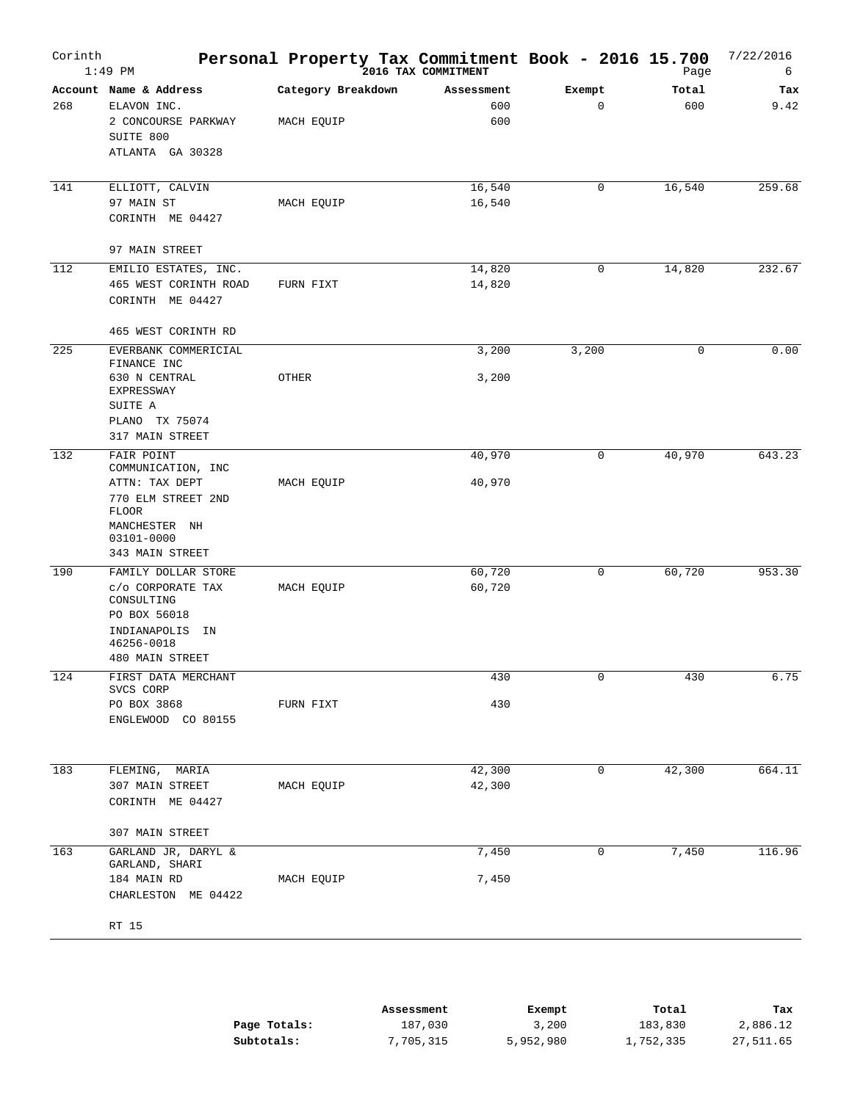| Corinth | $1:49$ PM                                                                                                                  | Personal Property Tax Commitment Book - 2016 15.700 | 2016 TAX COMMITMENT      |                       | Page         | 7/22/2016<br>6 |
|---------|----------------------------------------------------------------------------------------------------------------------------|-----------------------------------------------------|--------------------------|-----------------------|--------------|----------------|
| 268     | Account Name & Address<br>ELAVON INC.<br>2 CONCOURSE PARKWAY<br>SUITE 800<br>ATLANTA GA 30328                              | Category Breakdown<br>MACH EQUIP                    | Assessment<br>600<br>600 | Exempt<br>$\mathbf 0$ | Total<br>600 | Tax<br>9.42    |
| 141     | ELLIOTT, CALVIN<br>97 MAIN ST<br>CORINTH ME 04427                                                                          | MACH EQUIP                                          | 16,540<br>16,540         | 0                     | 16, 540      | 259.68         |
|         | 97 MAIN STREET                                                                                                             |                                                     |                          |                       |              |                |
| 112     | EMILIO ESTATES, INC.<br>465 WEST CORINTH ROAD<br>CORINTH ME 04427                                                          | FURN FIXT                                           | 14,820<br>14,820         | 0                     | 14,820       | 232.67         |
|         | 465 WEST CORINTH RD                                                                                                        |                                                     |                          |                       |              |                |
| 225     | EVERBANK COMMERICIAL<br>FINANCE INC<br>630 N CENTRAL<br>EXPRESSWAY                                                         | OTHER                                               | 3,200<br>3,200           | 3,200                 | 0            | 0.00           |
|         | SUITE A<br>PLANO TX 75074<br>317 MAIN STREET                                                                               |                                                     |                          |                       |              |                |
| 132     | FAIR POINT<br>COMMUNICATION, INC<br>ATTN: TAX DEPT<br>770 ELM STREET 2ND<br><b>FLOOR</b>                                   | MACH EQUIP                                          | 40,970<br>40,970         | 0                     | 40,970       | 643.23         |
|         | MANCHESTER NH<br>03101-0000<br>343 MAIN STREET                                                                             |                                                     |                          |                       |              |                |
| 190     | FAMILY DOLLAR STORE<br>C/O CORPORATE TAX<br>CONSULTING<br>PO BOX 56018<br>INDIANAPOLIS IN<br>46256-0018<br>480 MAIN STREET | MACH EQUIP                                          | 60,720<br>60,720         | 0                     | 60,720       | 953.30         |
| 124     | FIRST DATA MERCHANT                                                                                                        |                                                     | 430                      | 0                     | 430          | 6.75           |
|         | SVCS CORP<br>PO BOX 3868<br>ENGLEWOOD CO 80155                                                                             | FURN FIXT                                           | 430                      |                       |              |                |
| 183     | FLEMING, MARIA<br>307 MAIN STREET<br>CORINTH ME 04427                                                                      | MACH EQUIP                                          | 42,300<br>42,300         | 0                     | 42,300       | 664.11         |
|         | 307 MAIN STREET                                                                                                            |                                                     |                          |                       |              |                |
| 163     | GARLAND JR, DARYL &<br>GARLAND, SHARI                                                                                      |                                                     | 7,450                    | 0                     | 7,450        | 116.96         |
|         | 184 MAIN RD<br>CHARLESTON ME 04422                                                                                         | MACH EQUIP                                          | 7,450                    |                       |              |                |
|         | RT 15                                                                                                                      |                                                     |                          |                       |              |                |
|         |                                                                                                                            |                                                     |                          |                       |              |                |

|              | Assessment | Exempt    | Total     | Tax       |
|--------------|------------|-----------|-----------|-----------|
| Page Totals: | 187,030    | 3,200     | 183,830   | 2,886.12  |
| Subtotals:   | 7,705,315  | 5,952,980 | 1,752,335 | 27,511.65 |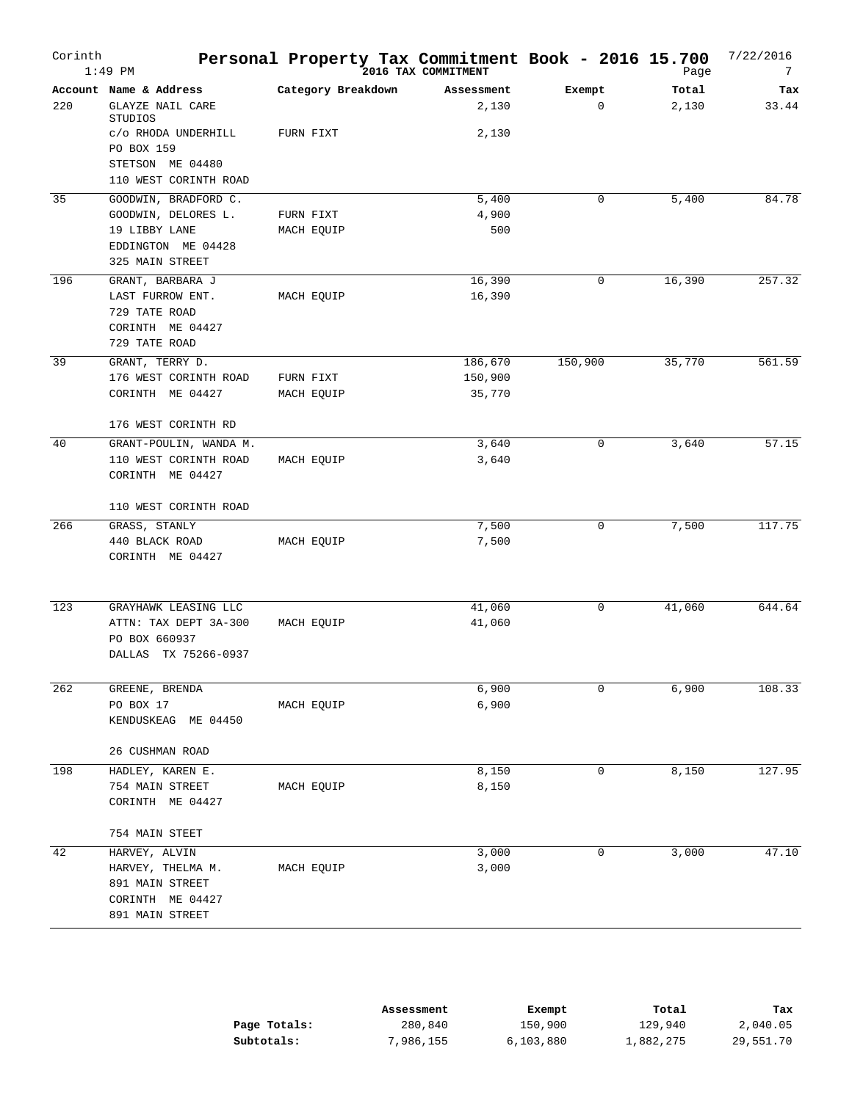| Corinth | $1:49$ PM                                 | Personal Property Tax Commitment Book - 2016 15.700 | 2016 TAX COMMITMENT |             | Page   | 7/22/2016<br>7 |
|---------|-------------------------------------------|-----------------------------------------------------|---------------------|-------------|--------|----------------|
|         | Account Name & Address                    | Category Breakdown                                  | Assessment          | Exempt      | Total  | Tax            |
| 220     | <b>GLAYZE NAIL CARE</b><br>STUDIOS        |                                                     | 2,130               | $\mathbf 0$ | 2,130  | 33.44          |
|         | c/o RHODA UNDERHILL<br>PO BOX 159         | FURN FIXT                                           | 2,130               |             |        |                |
|         | STETSON ME 04480                          |                                                     |                     |             |        |                |
|         | 110 WEST CORINTH ROAD                     |                                                     |                     |             |        |                |
| 35      | GOODWIN, BRADFORD C.                      |                                                     | 5,400               | 0           | 5,400  | 84.78          |
|         | GOODWIN, DELORES L.                       | FURN FIXT                                           | 4,900               |             |        |                |
|         | 19 LIBBY LANE                             | MACH EQUIP                                          | 500                 |             |        |                |
|         | EDDINGTON ME 04428                        |                                                     |                     |             |        |                |
|         | 325 MAIN STREET                           |                                                     |                     |             |        |                |
| 196     | GRANT, BARBARA J                          |                                                     | 16,390              | 0           | 16,390 | 257.32         |
|         | LAST FURROW ENT.                          | MACH EQUIP                                          | 16,390              |             |        |                |
|         | 729 TATE ROAD                             |                                                     |                     |             |        |                |
|         | CORINTH ME 04427                          |                                                     |                     |             |        |                |
|         | 729 TATE ROAD                             |                                                     |                     |             |        |                |
| 39      | GRANT, TERRY D.                           |                                                     | 186,670             | 150,900     | 35,770 | 561.59         |
|         | 176 WEST CORINTH ROAD                     | FURN FIXT                                           | 150,900             |             |        |                |
|         | CORINTH ME 04427                          | MACH EQUIP                                          | 35,770              |             |        |                |
|         | 176 WEST CORINTH RD                       |                                                     |                     |             |        |                |
| 40      | GRANT-POULIN, WANDA M.                    |                                                     | 3,640               | 0           | 3,640  | 57.15          |
|         | 110 WEST CORINTH ROAD<br>CORINTH ME 04427 | MACH EQUIP                                          | 3,640               |             |        |                |
|         | 110 WEST CORINTH ROAD                     |                                                     |                     |             |        |                |
| 266     | GRASS, STANLY                             |                                                     | 7,500               | 0           | 7,500  | 117.75         |
|         | 440 BLACK ROAD<br>CORINTH ME 04427        | MACH EQUIP                                          | 7,500               |             |        |                |
|         |                                           |                                                     |                     |             |        |                |
| 123     | GRAYHAWK LEASING LLC                      |                                                     | 41,060              | 0           | 41,060 | 644.64         |
|         | ATTN: TAX DEPT 3A-300                     | MACH EQUIP                                          | 41,060              |             |        |                |
|         | PO BOX 660937<br>DALLAS TX 75266-0937     |                                                     |                     |             |        |                |
|         |                                           |                                                     |                     |             |        |                |
| 262     | GREENE, BRENDA                            |                                                     | 6,900               | 0           | 6,900  | 108.33         |
|         | PO BOX 17<br>KENDUSKEAG ME 04450          | MACH EQUIP                                          | 6,900               |             |        |                |
|         | 26 CUSHMAN ROAD                           |                                                     |                     |             |        |                |
| 198     | HADLEY, KAREN E.                          |                                                     | 8,150               | 0           | 8,150  | 127.95         |
|         | 754 MAIN STREET                           | MACH EQUIP                                          | 8,150               |             |        |                |
|         | CORINTH ME 04427                          |                                                     |                     |             |        |                |
|         | 754 MAIN STEET                            |                                                     |                     |             |        |                |
| 42      | HARVEY, ALVIN                             |                                                     | 3,000               | 0           | 3,000  | 47.10          |
|         | HARVEY, THELMA M.                         | MACH EQUIP                                          | 3,000               |             |        |                |
|         | 891 MAIN STREET                           |                                                     |                     |             |        |                |
|         | CORINTH ME 04427                          |                                                     |                     |             |        |                |
|         | 891 MAIN STREET                           |                                                     |                     |             |        |                |

|              | Assessment | Exempt    | Total     | Tax       |
|--------------|------------|-----------|-----------|-----------|
| Page Totals: | 280,840    | 150,900   | 129,940   | 2,040.05  |
| Subtotals:   | 7,986,155  | 6,103,880 | 1,882,275 | 29,551.70 |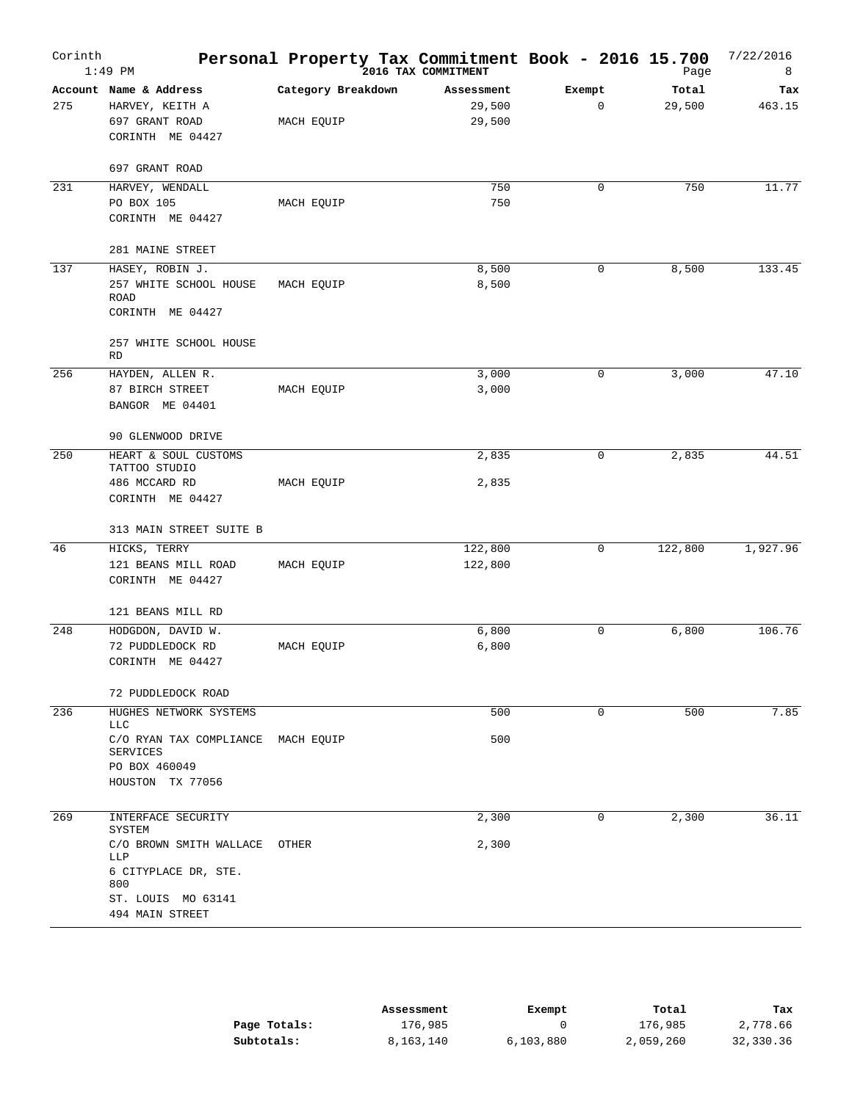| Corinth | $1:49$ PM                                                                           | Personal Property Tax Commitment Book - 2016 15.700 | 2016 TAX COMMITMENT            |             | Page            | 7/22/2016<br>8 |
|---------|-------------------------------------------------------------------------------------|-----------------------------------------------------|--------------------------------|-------------|-----------------|----------------|
| 275     | Account Name & Address<br>HARVEY, KEITH A<br>697 GRANT ROAD<br>CORINTH ME 04427     | Category Breakdown<br>MACH EQUIP                    | Assessment<br>29,500<br>29,500 | Exempt<br>0 | Total<br>29,500 | Tax<br>463.15  |
|         | 697 GRANT ROAD                                                                      |                                                     |                                |             |                 |                |
| 231     | HARVEY, WENDALL<br>PO BOX 105<br>CORINTH ME 04427                                   | MACH EQUIP                                          | 750<br>750                     | 0           | 750             | 11.77          |
|         | 281 MAINE STREET                                                                    |                                                     |                                |             |                 |                |
| 137     | HASEY, ROBIN J.<br>257 WHITE SCHOOL HOUSE<br>ROAD<br>CORINTH ME 04427               | MACH EQUIP                                          | 8,500<br>8,500                 | 0           | 8,500           | 133.45         |
|         | 257 WHITE SCHOOL HOUSE<br><b>RD</b>                                                 |                                                     |                                |             |                 |                |
| 256     | HAYDEN, ALLEN R.                                                                    |                                                     | 3,000                          | 0           | 3,000           | 47.10          |
|         | 87 BIRCH STREET<br>BANGOR ME 04401                                                  | MACH EQUIP                                          | 3,000                          |             |                 |                |
|         | 90 GLENWOOD DRIVE                                                                   |                                                     |                                |             |                 |                |
| 250     | HEART & SOUL CUSTOMS<br>TATTOO STUDIO                                               |                                                     | 2,835                          | 0           | 2,835           | 44.51          |
|         | 486 MCCARD RD<br>CORINTH ME 04427                                                   | MACH EQUIP                                          | 2,835                          |             |                 |                |
|         | 313 MAIN STREET SUITE B                                                             |                                                     |                                |             |                 |                |
| 46      | HICKS, TERRY<br>121 BEANS MILL ROAD<br>CORINTH ME 04427                             | MACH EQUIP                                          | 122,800<br>122,800             | 0           | 122,800         | 1,927.96       |
|         | 121 BEANS MILL RD                                                                   |                                                     |                                |             |                 |                |
| 248     | HODGDON, DAVID W.                                                                   |                                                     | 6,800<br>6,800                 | 0           | 6,800           | 106.76         |
|         | 72 PUDDLEDOCK RD<br>CORINTH ME 04427                                                | MACH EQUIP                                          |                                |             |                 |                |
|         | 72 PUDDLEDOCK ROAD                                                                  |                                                     |                                |             |                 |                |
| 236     | HUGHES NETWORK SYSTEMS<br>LLC                                                       |                                                     | 500                            | 0           | 500             | 7.85           |
|         | C/O RYAN TAX COMPLIANCE<br>SERVICES<br>PO BOX 460049<br>HOUSTON TX 77056            | MACH EQUIP                                          | 500                            |             |                 |                |
|         |                                                                                     |                                                     |                                |             |                 |                |
| 269     | INTERFACE SECURITY<br><b>SYSTEM</b>                                                 |                                                     | 2,300                          | 0           | 2,300           | 36.11          |
|         | C/O BROWN SMITH WALLACE<br>LLP<br>6 CITYPLACE DR, STE.<br>800<br>ST. LOUIS MO 63141 | OTHER                                               | 2,300                          |             |                 |                |
|         | 494 MAIN STREET                                                                     |                                                     |                                |             |                 |                |

|              | Assessment | Exempt    | Total     | Tax       |
|--------------|------------|-----------|-----------|-----------|
| Page Totals: | 176,985    |           | 176,985   | 2,778.66  |
| Subtotals:   | 8,163,140  | 6,103,880 | 2,059,260 | 32,330.36 |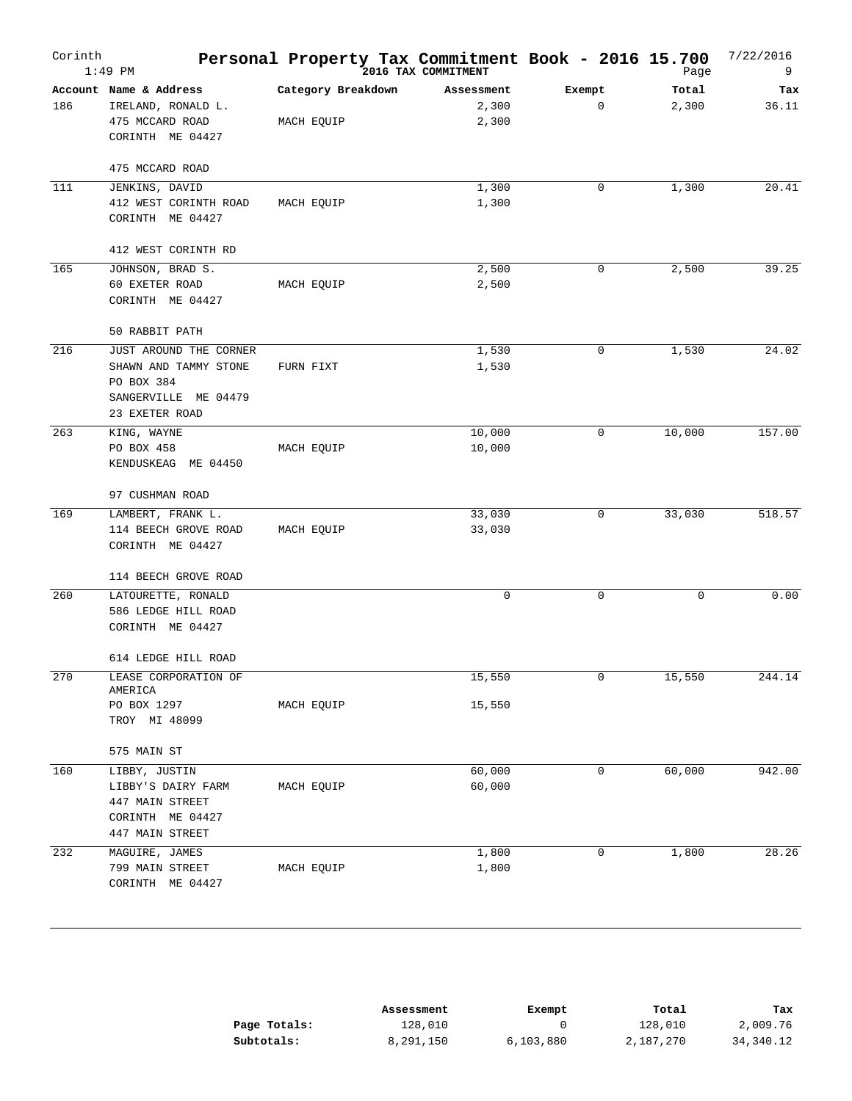| Corinth | $1:49$ PM                                                                                                    | Personal Property Tax Commitment Book - 2016 15.700 | 2016 TAX COMMITMENT          |             | Page           | 7/22/2016<br>9 |
|---------|--------------------------------------------------------------------------------------------------------------|-----------------------------------------------------|------------------------------|-------------|----------------|----------------|
| 186     | Account Name & Address<br>IRELAND, RONALD L.<br>475 MCCARD ROAD<br>CORINTH ME 04427                          | Category Breakdown<br>MACH EQUIP                    | Assessment<br>2,300<br>2,300 | Exempt<br>0 | Total<br>2,300 | Tax<br>36.11   |
| 111     | 475 MCCARD ROAD<br>JENKINS, DAVID<br>412 WEST CORINTH ROAD<br>CORINTH ME 04427                               | MACH EQUIP                                          | 1,300<br>1,300               | 0           | 1,300          | 20.41          |
| 165     | 412 WEST CORINTH RD<br>JOHNSON, BRAD S.                                                                      |                                                     | 2,500                        | 0           | 2,500          | 39.25          |
|         | 60 EXETER ROAD<br>CORINTH ME 04427<br>50 RABBIT PATH                                                         | MACH EQUIP                                          | 2,500                        |             |                |                |
| 216     | JUST AROUND THE CORNER<br>SHAWN AND TAMMY STONE<br>PO BOX 384<br>SANGERVILLE ME 04479<br>23 EXETER ROAD      | FURN FIXT                                           | 1,530<br>1,530               | 0           | 1,530          | 24.02          |
| 263     | KING, WAYNE<br>PO BOX 458<br>KENDUSKEAG ME 04450                                                             | MACH EQUIP                                          | 10,000<br>10,000             | 0           | 10,000         | 157.00         |
| 169     | 97 CUSHMAN ROAD<br>LAMBERT, FRANK L.<br>114 BEECH GROVE ROAD<br>CORINTH ME 04427                             | MACH EQUIP                                          | 33,030<br>33,030             | 0           | 33,030         | 518.57         |
| 260     | 114 BEECH GROVE ROAD<br>LATOURETTE, RONALD<br>586 LEDGE HILL ROAD<br>CORINTH ME 04427<br>614 LEDGE HILL ROAD |                                                     | 0                            | 0           | $\mathsf 0$    | 0.00           |
| 270     | LEASE CORPORATION OF<br>AMERICA<br>PO BOX 1297<br>TROY MI 48099                                              | MACH EQUIP                                          | 15,550<br>15,550             | 0           | 15,550         | 244.14         |
| 160     | 575 MAIN ST<br>LIBBY, JUSTIN<br>LIBBY'S DAIRY FARM<br>447 MAIN STREET<br>CORINTH ME 04427<br>447 MAIN STREET | MACH EQUIP                                          | 60,000<br>60,000             | 0           | 60,000         | 942.00         |
| 232     | MAGUIRE, JAMES<br>799 MAIN STREET<br>CORINTH ME 04427                                                        | MACH EQUIP                                          | 1,800<br>1,800               | 0           | 1,800          | 28.26          |

|              | Assessment | Exempt    | Total     | Tax       |
|--------------|------------|-----------|-----------|-----------|
| Page Totals: | 128,010    |           | 128,010   | 2,009.76  |
| Subtotals:   | 8,291,150  | 6,103,880 | 2,187,270 | 34,340.12 |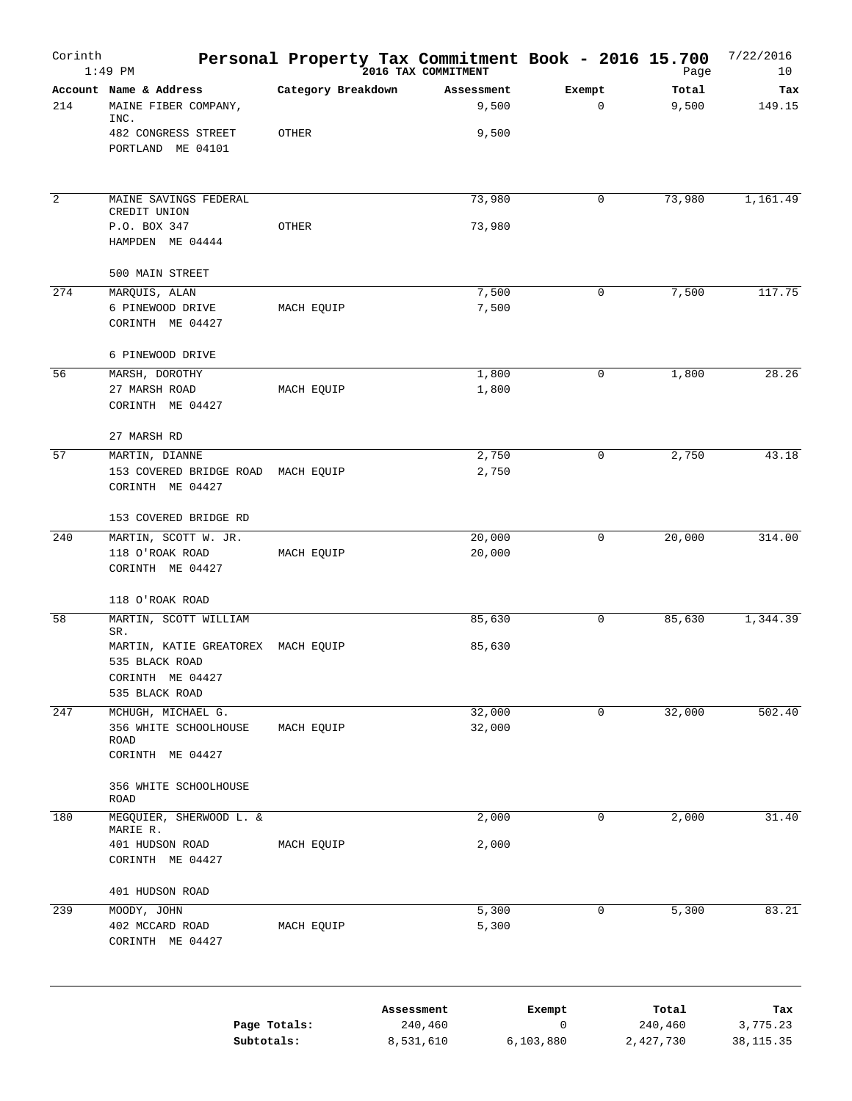| Corinth        | $1:49$ PM                                                                                         |                    | Personal Property Tax Commitment Book - 2016 15.700<br>2016 TAX COMMITMENT |                          | Page                          | 7/22/2016<br>10              |
|----------------|---------------------------------------------------------------------------------------------------|--------------------|----------------------------------------------------------------------------|--------------------------|-------------------------------|------------------------------|
| 214            | Account Name & Address<br>MAINE FIBER COMPANY,<br>INC.                                            | Category Breakdown | Assessment<br>9,500                                                        | Exempt<br>0              | Total<br>9,500                | Tax<br>149.15                |
|                | 482 CONGRESS STREET<br>PORTLAND ME 04101                                                          | OTHER              | 9,500                                                                      |                          |                               |                              |
| $\overline{2}$ | MAINE SAVINGS FEDERAL<br>CREDIT UNION                                                             |                    | 73,980                                                                     | 0                        | 73,980                        | 1,161.49                     |
|                | P.O. BOX 347<br>HAMPDEN ME 04444                                                                  | OTHER              | 73,980                                                                     |                          |                               |                              |
|                | 500 MAIN STREET                                                                                   |                    |                                                                            |                          |                               |                              |
| 274            | MARQUIS, ALAN<br>6 PINEWOOD DRIVE<br>CORINTH ME 04427                                             | MACH EQUIP         | 7,500<br>7,500                                                             | 0                        | 7,500                         | 117.75                       |
|                | 6 PINEWOOD DRIVE                                                                                  |                    |                                                                            |                          |                               |                              |
| 56             | MARSH, DOROTHY<br>27 MARSH ROAD<br>CORINTH ME 04427                                               | MACH EQUIP         | 1,800<br>1,800                                                             | 0                        | 1,800                         | 28.26                        |
|                | 27 MARSH RD                                                                                       |                    |                                                                            |                          |                               |                              |
| 57             | MARTIN, DIANNE<br>153 COVERED BRIDGE ROAD MACH EQUIP<br>CORINTH ME 04427                          |                    | 2,750<br>2,750                                                             | 0                        | 2,750                         | 43.18                        |
|                | 153 COVERED BRIDGE RD                                                                             |                    |                                                                            |                          |                               |                              |
| 240            | MARTIN, SCOTT W. JR.<br>118 O'ROAK ROAD<br>CORINTH ME 04427                                       | MACH EQUIP         | 20,000<br>20,000                                                           | 0                        | 20,000                        | 314.00                       |
|                | 118 O'ROAK ROAD                                                                                   |                    |                                                                            |                          |                               |                              |
| 58             | MARTIN, SCOTT WILLIAM                                                                             |                    | 85,630                                                                     | 0                        | 85,630                        | 1,344.39                     |
|                | SR.<br>MARTIN, KATIE GREATOREX MACH EQUIP<br>535 BLACK ROAD<br>CORINTH ME 04427<br>535 BLACK ROAD |                    | 85,630                                                                     |                          |                               |                              |
| 247            | MCHUGH, MICHAEL G.                                                                                |                    | 32,000                                                                     | 0                        | 32,000                        | 502.40                       |
|                | 356 WHITE SCHOOLHOUSE<br>ROAD<br>CORINTH ME 04427                                                 | MACH EQUIP         | 32,000                                                                     |                          |                               |                              |
|                | 356 WHITE SCHOOLHOUSE<br><b>ROAD</b>                                                              |                    |                                                                            |                          |                               |                              |
| 180            | MEGQUIER, SHERWOOD L. &<br>MARIE R.                                                               |                    | 2,000                                                                      | 0                        | 2,000                         | 31.40                        |
|                | 401 HUDSON ROAD<br>CORINTH ME 04427                                                               | MACH EQUIP         | 2,000                                                                      |                          |                               |                              |
|                | 401 HUDSON ROAD                                                                                   |                    |                                                                            |                          |                               |                              |
| 239            | MOODY, JOHN<br>402 MCCARD ROAD<br>CORINTH ME 04427                                                | MACH EQUIP         | 5,300<br>5,300                                                             | 0                        | 5,300                         | 83.21                        |
|                | Subtotals:                                                                                        | Page Totals:       | Assessment<br>240,460<br>8,531,610                                         | Exempt<br>0<br>6,103,880 | Total<br>240,460<br>2,427,730 | Tax<br>3,775.23<br>38,115.35 |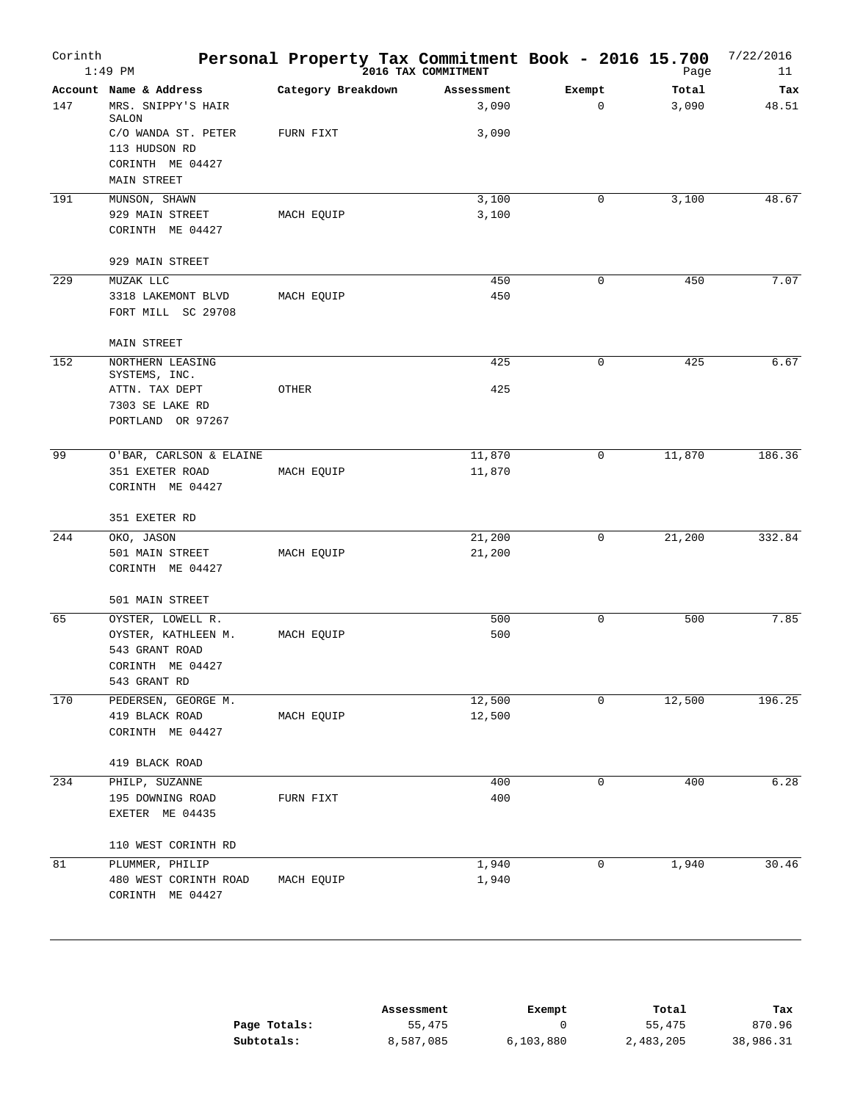| Corinth | $1:49$ PM                           | Personal Property Tax Commitment Book - 2016 15.700 | 2016 TAX COMMITMENT |             | Page   | 7/22/2016<br>11 |
|---------|-------------------------------------|-----------------------------------------------------|---------------------|-------------|--------|-----------------|
|         | Account Name & Address              | Category Breakdown                                  | Assessment          | Exempt      | Total  | Tax             |
| 147     | MRS. SNIPPY'S HAIR<br>SALON         |                                                     | 3,090               | $\mathbf 0$ | 3,090  | 48.51           |
|         | C/O WANDA ST. PETER                 | FURN FIXT                                           | 3,090               |             |        |                 |
|         | 113 HUDSON RD                       |                                                     |                     |             |        |                 |
|         | CORINTH ME 04427                    |                                                     |                     |             |        |                 |
|         | MAIN STREET                         |                                                     |                     |             |        |                 |
| 191     | MUNSON, SHAWN                       |                                                     | 3,100               | 0           | 3,100  | 48.67           |
|         | 929 MAIN STREET                     | MACH EQUIP                                          | 3,100               |             |        |                 |
|         | CORINTH ME 04427                    |                                                     |                     |             |        |                 |
|         | 929 MAIN STREET                     |                                                     |                     |             |        |                 |
| 229     | MUZAK LLC                           |                                                     | 450                 | 0           | 450    | 7.07            |
|         | 3318 LAKEMONT BLVD                  | MACH EQUIP                                          | 450                 |             |        |                 |
|         | FORT MILL SC 29708                  |                                                     |                     |             |        |                 |
| 152     | MAIN STREET<br>NORTHERN LEASING     |                                                     | 425                 | $\mathbf 0$ | 425    | 6.67            |
|         | SYSTEMS, INC.                       |                                                     |                     |             |        |                 |
|         | ATTN. TAX DEPT                      | OTHER                                               | 425                 |             |        |                 |
|         | 7303 SE LAKE RD                     |                                                     |                     |             |        |                 |
|         | PORTLAND OR 97267                   |                                                     |                     |             |        |                 |
| 99      | O'BAR, CARLSON & ELAINE             |                                                     | 11,870              | 0           | 11,870 | 186.36          |
|         | 351 EXETER ROAD                     | MACH EQUIP                                          | 11,870              |             |        |                 |
|         | CORINTH ME 04427                    |                                                     |                     |             |        |                 |
|         | 351 EXETER RD                       |                                                     |                     |             |        |                 |
| 244     | OKO, JASON                          |                                                     | 21,200              | $\mathbf 0$ | 21,200 | 332.84          |
|         | 501 MAIN STREET                     | MACH EQUIP                                          | 21,200              |             |        |                 |
|         | CORINTH ME 04427                    |                                                     |                     |             |        |                 |
|         | 501 MAIN STREET                     |                                                     |                     |             |        |                 |
| 65      | OYSTER, LOWELL R.                   |                                                     | 500                 | 0           | 500    | 7.85            |
|         | OYSTER, KATHLEEN M.                 | MACH EQUIP                                          | 500                 |             |        |                 |
|         | 543 GRANT ROAD                      |                                                     |                     |             |        |                 |
|         | CORINTH ME 04427                    |                                                     |                     |             |        |                 |
|         | 543 GRANT RD                        |                                                     |                     |             |        |                 |
| 170     | PEDERSEN, GEORGE M.                 |                                                     | 12,500              | 0           | 12,500 | 196.25          |
|         | 419 BLACK ROAD                      | MACH EQUIP                                          | 12,500              |             |        |                 |
|         | CORINTH ME 04427                    |                                                     |                     |             |        |                 |
|         | 419 BLACK ROAD                      |                                                     |                     |             |        |                 |
| 234     | PHILP, SUZANNE                      |                                                     | 400                 | 0           | 400    | 6.28            |
|         | 195 DOWNING ROAD<br>EXETER ME 04435 | FURN FIXT                                           | 400                 |             |        |                 |
|         | 110 WEST CORINTH RD                 |                                                     |                     |             |        |                 |
| 81      | PLUMMER, PHILIP                     |                                                     | 1,940               | 0           | 1,940  | 30.46           |
|         | 480 WEST CORINTH ROAD               | MACH EQUIP                                          | 1,940               |             |        |                 |
|         | CORINTH ME 04427                    |                                                     |                     |             |        |                 |

|              | Assessment | Exempt    | Total     | Tax       |
|--------------|------------|-----------|-----------|-----------|
| Page Totals: | 55,475     |           | 55,475    | 870.96    |
| Subtotals:   | 8,587,085  | 6,103,880 | 2,483,205 | 38,986.31 |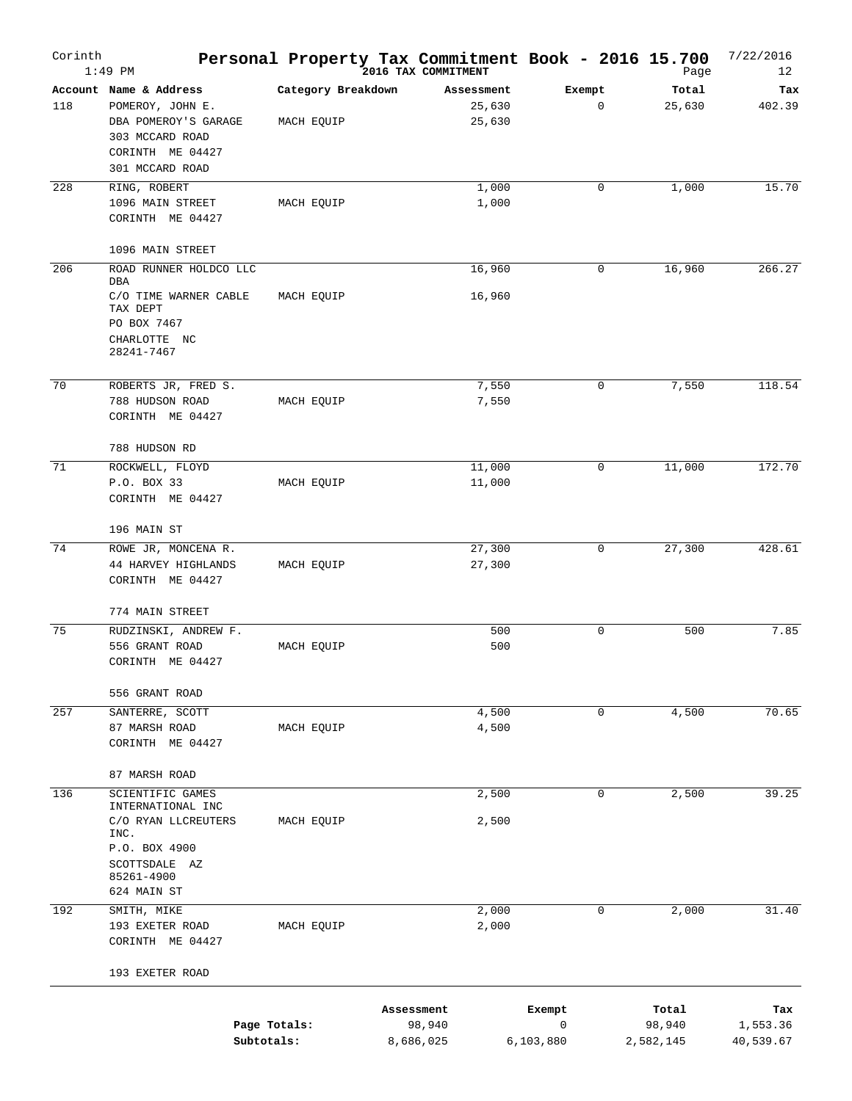| Corinth | $1:49$ PM                                                                                                                    |                                  | Personal Property Tax Commitment Book - 2016 15.700<br>2016 TAX COMMITMENT |                          |   | Page                         | 7/22/2016<br>12              |
|---------|------------------------------------------------------------------------------------------------------------------------------|----------------------------------|----------------------------------------------------------------------------|--------------------------|---|------------------------------|------------------------------|
| 118     | Account Name & Address<br>POMEROY, JOHN E.<br>DBA POMEROY'S GARAGE<br>303 MCCARD ROAD<br>CORINTH ME 04427<br>301 MCCARD ROAD | Category Breakdown<br>MACH EQUIP | Assessment<br>25,630<br>25,630                                             | Exempt                   | 0 | Total<br>25,630              | Tax<br>402.39                |
| 228     | RING, ROBERT<br>1096 MAIN STREET<br>CORINTH ME 04427                                                                         | MACH EQUIP                       | 1,000<br>1,000                                                             |                          | 0 | 1,000                        | 15.70                        |
| 206     | 1096 MAIN STREET<br>ROAD RUNNER HOLDCO LLC<br>DBA<br>C/O TIME WARNER CABLE                                                   | MACH EQUIP                       | 16,960<br>16,960                                                           |                          | 0 | 16,960                       | 266.27                       |
|         | TAX DEPT<br>PO BOX 7467<br>CHARLOTTE NC<br>28241-7467                                                                        |                                  |                                                                            |                          |   |                              |                              |
| 70      | ROBERTS JR, FRED S.<br>788 HUDSON ROAD<br>CORINTH ME 04427                                                                   | MACH EQUIP                       | 7,550<br>7,550                                                             |                          | 0 | 7,550                        | 118.54                       |
| 71      | 788 HUDSON RD<br>ROCKWELL, FLOYD<br>P.O. BOX 33<br>CORINTH ME 04427                                                          | MACH EQUIP                       | 11,000<br>11,000                                                           |                          | 0 | 11,000                       | 172.70                       |
|         | 196 MAIN ST                                                                                                                  |                                  |                                                                            |                          |   |                              |                              |
| 74      | ROWE JR, MONCENA R.<br>44 HARVEY HIGHLANDS<br>CORINTH ME 04427                                                               | MACH EQUIP                       | 27,300<br>27,300                                                           |                          | 0 | 27,300                       | 428.61                       |
|         | 774 MAIN STREET                                                                                                              |                                  |                                                                            |                          |   |                              |                              |
| 75      | RUDZINSKI, ANDREW F.<br>556 GRANT ROAD<br>CORINTH ME 04427                                                                   | MACH EQUIP                       | 500<br>500                                                                 |                          | 0 | 500                          | 7.85                         |
|         | 556 GRANT ROAD                                                                                                               |                                  |                                                                            |                          |   |                              |                              |
| 257     | SANTERRE, SCOTT<br>87 MARSH ROAD<br>CORINTH ME 04427                                                                         | MACH EQUIP                       | 4,500<br>4,500                                                             |                          | 0 | 4,500                        | 70.65                        |
|         | 87 MARSH ROAD                                                                                                                |                                  |                                                                            |                          |   |                              |                              |
| 136     | SCIENTIFIC GAMES<br>INTERNATIONAL INC<br>C/O RYAN LLCREUTERS<br>INC.<br>P.O. BOX 4900<br>SCOTTSDALE AZ<br>85261-4900         | MACH EQUIP                       | 2,500<br>2,500                                                             |                          | 0 | 2,500                        | 39.25                        |
| 192     | 624 MAIN ST<br>SMITH, MIKE<br>193 EXETER ROAD<br>CORINTH ME 04427                                                            | MACH EQUIP                       | 2,000<br>2,000                                                             |                          | 0 | 2,000                        | 31.40                        |
|         | 193 EXETER ROAD                                                                                                              |                                  |                                                                            |                          |   |                              |                              |
|         | Page Totals:<br>Subtotals:                                                                                                   |                                  | Assessment<br>98,940<br>8,686,025                                          | Exempt<br>0<br>6,103,880 |   | Total<br>98,940<br>2,582,145 | Tax<br>1,553.36<br>40,539.67 |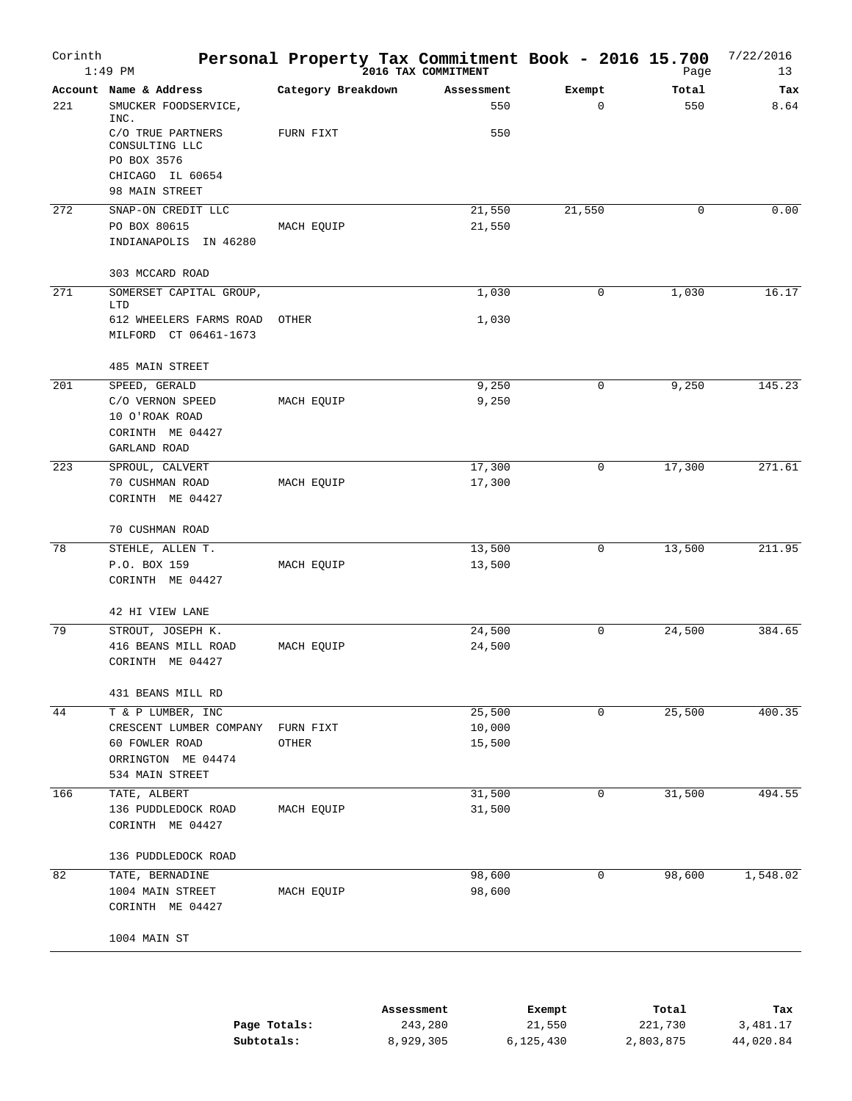| Corinth | $1:49$ PM                                               | Personal Property Tax Commitment Book - 2016 15.700 | 2016 TAX COMMITMENT |                       | Page         | 7/22/2016<br>13 |
|---------|---------------------------------------------------------|-----------------------------------------------------|---------------------|-----------------------|--------------|-----------------|
| 221     | Account Name & Address<br>SMUCKER FOODSERVICE,<br>INC.  | Category Breakdown                                  | Assessment<br>550   | Exempt<br>$\mathbf 0$ | Total<br>550 | Tax<br>8.64     |
|         | C/O TRUE PARTNERS<br>CONSULTING LLC<br>PO BOX 3576      | FURN FIXT                                           | 550                 |                       |              |                 |
|         | CHICAGO IL 60654<br>98 MAIN STREET                      |                                                     |                     |                       |              |                 |
| 272     | SNAP-ON CREDIT LLC                                      |                                                     | 21,550              | 21,550                | 0            | 0.00            |
|         | PO BOX 80615<br>INDIANAPOLIS IN 46280                   | MACH EQUIP                                          | 21,550              |                       |              |                 |
|         | 303 MCCARD ROAD                                         |                                                     |                     |                       |              |                 |
| 271     | SOMERSET CAPITAL GROUP,<br>LTD                          |                                                     | 1,030               | 0                     | 1,030        | 16.17           |
|         | 612 WHEELERS FARMS ROAD<br>MILFORD CT 06461-1673        | OTHER                                               | 1,030               |                       |              |                 |
|         | 485 MAIN STREET                                         |                                                     |                     |                       |              |                 |
| 201     | SPEED, GERALD                                           |                                                     | 9,250               | 0                     | 9,250        | 145.23          |
|         | C/O VERNON SPEED<br>10 O'ROAK ROAD<br>CORINTH ME 04427  | MACH EQUIP                                          | 9,250               |                       |              |                 |
|         | GARLAND ROAD                                            |                                                     |                     |                       |              |                 |
| 223     | SPROUL, CALVERT                                         |                                                     | 17,300              | 0                     | 17,300       | 271.61          |
|         | 70 CUSHMAN ROAD<br>CORINTH ME 04427                     | MACH EQUIP                                          | 17,300              |                       |              |                 |
|         | 70 CUSHMAN ROAD                                         |                                                     |                     |                       |              |                 |
| 78      | STEHLE, ALLEN T.                                        |                                                     | 13,500              | 0                     | 13,500       | 211.95          |
|         | P.O. BOX 159<br>CORINTH ME 04427                        | MACH EQUIP                                          | 13,500              |                       |              |                 |
|         | 42 HI VIEW LANE                                         |                                                     |                     |                       |              |                 |
| 79      | STROUT, JOSEPH K.                                       |                                                     | 24,500              | 0                     | 24,500       | 384.65          |
|         | 416 BEANS MILL ROAD<br>CORINTH ME 04427                 | MACH EQUIP                                          | 24,500              |                       |              |                 |
|         | 431 BEANS MILL RD                                       |                                                     |                     |                       |              |                 |
| 44      | T & P LUMBER, INC                                       |                                                     | 25,500              | 0                     | 25,500       | 400.35          |
|         | CRESCENT LUMBER COMPANY                                 | FURN FIXT                                           | 10,000              |                       |              |                 |
|         | 60 FOWLER ROAD<br>ORRINGTON ME 04474<br>534 MAIN STREET | OTHER                                               | 15,500              |                       |              |                 |
| 166     | TATE, ALBERT                                            |                                                     | 31,500              | 0                     | 31,500       | 494.55          |
|         | 136 PUDDLEDOCK ROAD<br>CORINTH ME 04427                 | MACH EQUIP                                          | 31,500              |                       |              |                 |
|         | 136 PUDDLEDOCK ROAD                                     |                                                     |                     |                       |              |                 |
| 82      | TATE, BERNADINE                                         |                                                     | 98,600              | 0                     | 98,600       | 1,548.02        |
|         | 1004 MAIN STREET<br>CORINTH ME 04427                    | MACH EQUIP                                          | 98,600              |                       |              |                 |
|         | 1004 MAIN ST                                            |                                                     |                     |                       |              |                 |
|         |                                                         |                                                     |                     |                       |              |                 |

|              | Assessment | Exempt    | Total     | Tax       |
|--------------|------------|-----------|-----------|-----------|
| Page Totals: | 243,280    | 21,550    | 221,730   | 3,481.17  |
| Subtotals:   | 8,929,305  | 6,125,430 | 2,803,875 | 44,020.84 |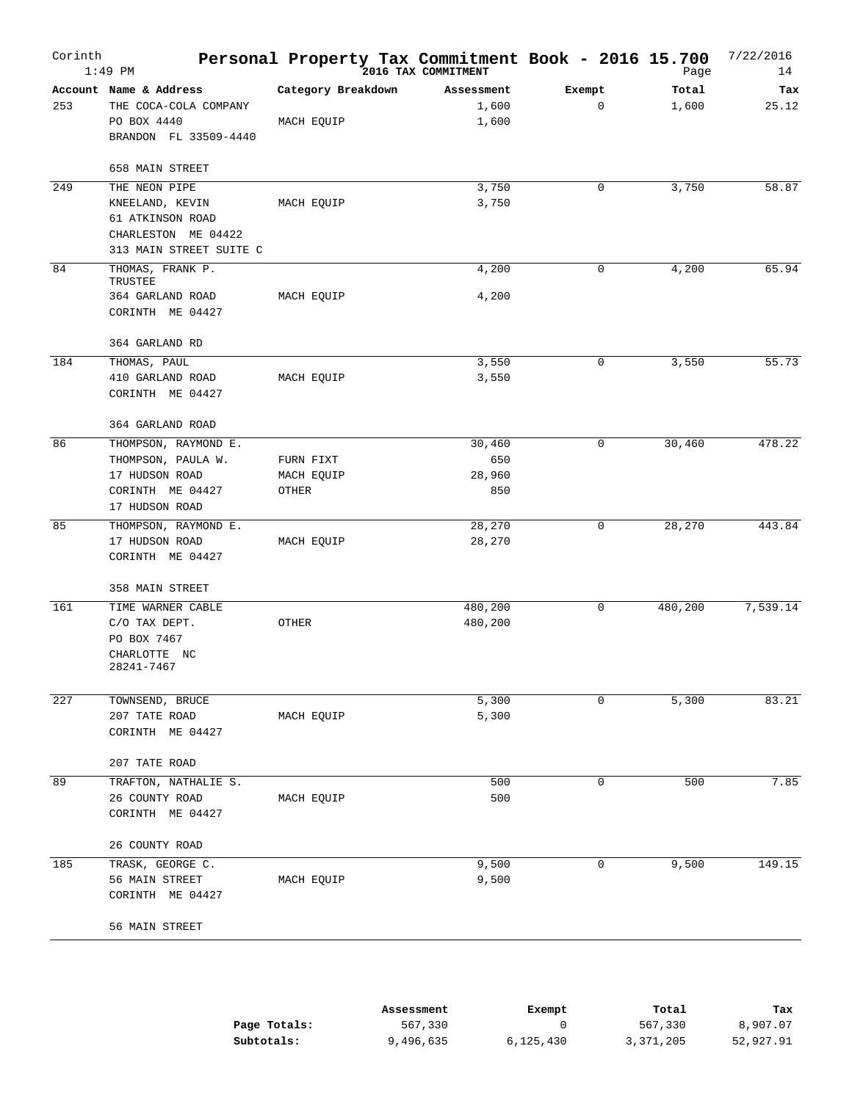| Corinth | $1:49$ PM                   | Personal Property Tax Commitment Book - 2016 15.700 | 2016 TAX COMMITMENT |        | Page    | 7/22/2016<br>14 |
|---------|-----------------------------|-----------------------------------------------------|---------------------|--------|---------|-----------------|
|         | Account Name & Address      | Category Breakdown                                  | Assessment          | Exempt | Total   | Tax             |
| 253     | THE COCA-COLA COMPANY       |                                                     | 1,600               | 0      | 1,600   | 25.12           |
|         | PO BOX 4440                 | MACH EQUIP                                          | 1,600               |        |         |                 |
|         | BRANDON FL 33509-4440       |                                                     |                     |        |         |                 |
|         | 658 MAIN STREET             |                                                     |                     |        |         |                 |
| 249     | THE NEON PIPE               |                                                     | 3,750               | 0      | 3,750   | 58.87           |
|         | KNEELAND, KEVIN             | MACH EQUIP                                          | 3,750               |        |         |                 |
|         | 61 ATKINSON ROAD            |                                                     |                     |        |         |                 |
|         | CHARLESTON ME 04422         |                                                     |                     |        |         |                 |
|         | 313 MAIN STREET SUITE C     |                                                     |                     |        |         |                 |
| 84      | THOMAS, FRANK P.<br>TRUSTEE |                                                     | 4,200               | 0      | 4,200   | 65.94           |
|         | 364 GARLAND ROAD            | MACH EQUIP                                          | 4,200               |        |         |                 |
|         | CORINTH ME 04427            |                                                     |                     |        |         |                 |
|         | 364 GARLAND RD              |                                                     |                     |        |         |                 |
| 184     | THOMAS, PAUL                |                                                     | 3,550               | 0      | 3,550   | 55.73           |
|         | 410 GARLAND ROAD            | MACH EQUIP                                          | 3,550               |        |         |                 |
|         | CORINTH ME 04427            |                                                     |                     |        |         |                 |
|         | 364 GARLAND ROAD            |                                                     |                     |        |         |                 |
| 86      | THOMPSON, RAYMOND E.        |                                                     | 30,460              | 0      | 30,460  | 478.22          |
|         | THOMPSON, PAULA W.          | FURN FIXT                                           | 650                 |        |         |                 |
|         | 17 HUDSON ROAD              | MACH EQUIP                                          | 28,960              |        |         |                 |
|         | CORINTH ME 04427            | OTHER                                               | 850                 |        |         |                 |
|         | 17 HUDSON ROAD              |                                                     |                     |        |         |                 |
| 85      | THOMPSON, RAYMOND E.        |                                                     | 28,270              | 0      | 28,270  | 443.84          |
|         | 17 HUDSON ROAD              | MACH EQUIP                                          | 28,270              |        |         |                 |
|         | CORINTH ME 04427            |                                                     |                     |        |         |                 |
|         | 358 MAIN STREET             |                                                     |                     |        |         |                 |
| 161     | TIME WARNER CABLE           |                                                     | 480,200             | 0      | 480,200 | 7,539.14        |
|         | C/O TAX DEPT.               | OTHER                                               | 480,200             |        |         |                 |
|         | PO BOX 7467                 |                                                     |                     |        |         |                 |
|         | CHARLOTTE NC<br>28241-7467  |                                                     |                     |        |         |                 |
| 227     | TOWNSEND, BRUCE             |                                                     | 5,300               | 0      | 5,300   | 83.21           |
|         | 207 TATE ROAD               | MACH EQUIP                                          | 5,300               |        |         |                 |
|         | CORINTH ME 04427            |                                                     |                     |        |         |                 |
|         | 207 TATE ROAD               |                                                     |                     |        |         |                 |
| 89      | TRAFTON, NATHALIE S.        |                                                     | 500                 | 0      | 500     | 7.85            |
|         | 26 COUNTY ROAD              | MACH EQUIP                                          | 500                 |        |         |                 |
|         | CORINTH ME 04427            |                                                     |                     |        |         |                 |
|         | 26 COUNTY ROAD              |                                                     |                     |        |         |                 |
| 185     | TRASK, GEORGE C.            |                                                     | 9,500               | 0      | 9,500   | 149.15          |
|         | 56 MAIN STREET              | MACH EQUIP                                          | 9,500               |        |         |                 |
|         | CORINTH ME 04427            |                                                     |                     |        |         |                 |
|         | 56 MAIN STREET              |                                                     |                     |        |         |                 |
|         |                             |                                                     |                     |        |         |                 |

|              | Assessment | Exempt    | Total     | Tax       |
|--------------|------------|-----------|-----------|-----------|
| Page Totals: | 567,330    |           | 567,330   | 8,907.07  |
| Subtotals:   | 9,496,635  | 6,125,430 | 3,371,205 | 52,927.91 |